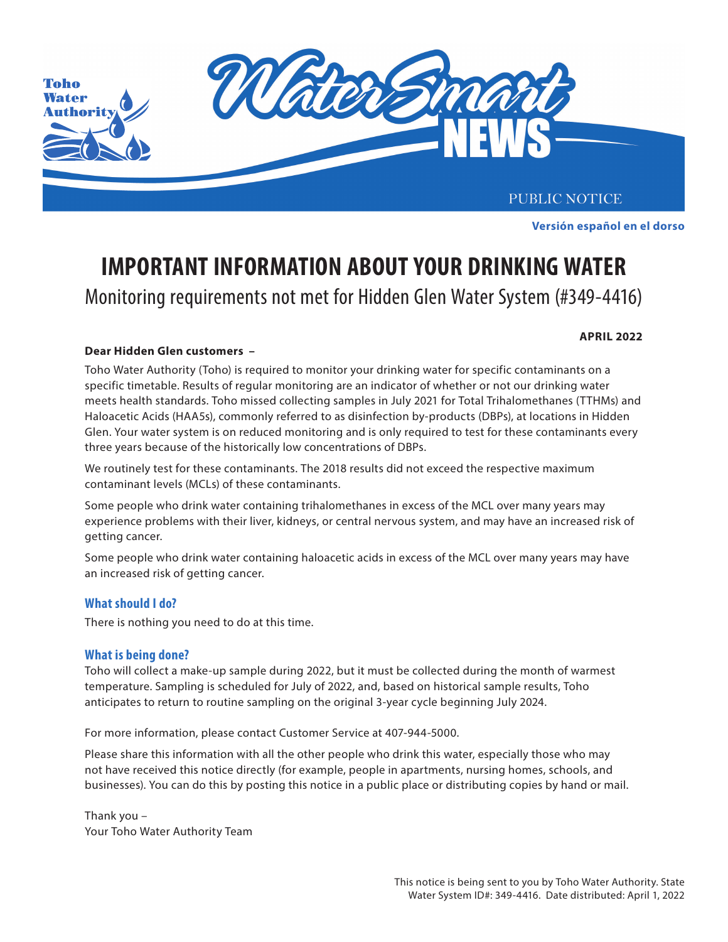

Este aviso público está disponible en español en **www.tohoprojects.com**. **Versión español en el dorso**

# Monitoring requirements not met for Hidden Glen Water System (#349-4416) **IMPORTANT INFORMATION ABOUT YOUR DRINKING WATER**

#### **APRIL 2022**

### **Dear Hidden Glen customers –**

Toho Water Authority (Toho) is required to monitor your drinking water for specific contaminants on a specific timetable. Results of regular monitoring are an indicator of whether or not our drinking water meets health standards. Toho missed collecting samples in July 2021 for Total Trihalomethanes (TTHMs) and Haloacetic Acids (HAA5s), commonly referred to as disinfection by-products (DBPs), at locations in Hidden Glen. Your water system is on reduced monitoring and is only required to test for these contaminants every three years because of the historically low concentrations of DBPs.

We routinely test for these contaminants. The 2018 results did not exceed the respective maximum contaminant levels (MCLs) of these contaminants.

Some people who drink water containing trihalomethanes in excess of the MCL over many years may experience problems with their liver, kidneys, or central nervous system, and may have an increased risk of of the cancer. To reduce taste and smell, run the faucet with cold water for two minutes. Run it for two minutes  $\alpha$ 

Some people who drink water containing haloacetic acids in excess of the MCL over many years may have an increased risk of getting cancer.

#### **Sediment. These occurrences can usually by running cold tap water for several minutes. If the problem is the problem of several minutes. If the problem is the problem is the problem of the problem in the problem is the pr**

persists, please contact our Customer Service Department at 407-944-5000. To avoid possible staining of clothes during There is nothing you need to do at this time.

#### **Do I need to the temporary switch and the temporary switch and the temporary switch and the temporary switch and the temporary switch and the temporary switch and the temporary switch and the temporary switch and the temp**

Toho will collect a make-up sample during 2022, but it must be collected during the month of warmest temperature. Sampling is scheduled for July of 2022, and, based on historical sample results, Toho anticipates to return to routine sampling on the original 3-year cycle beginning July 2024.

For more information, please contact Customer Service at 407-944-5000.

Please share this information with all the other people who drink this water, especially those who may not have received this notice directly (for example, people in apartments, nursing homes, schools, and Please visit **www.tohoprojects.com** for more information and updates or contact Toho Water Authority's Public businesses). You can do this by posting this notice in a public place or distributing copies by hand or mail.

Thank you – Your Toho Water Authority Team